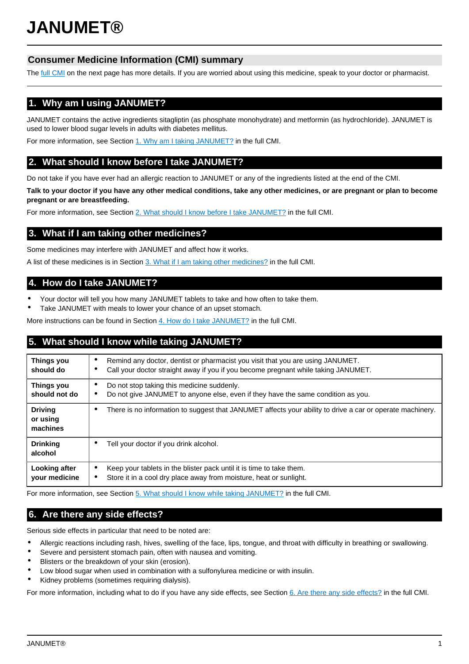# **Consumer Medicine Information (CMI) summary**

The [full CMI](#page-1-0) on the next page has more details. If you are worried about using this medicine, speak to your doctor or pharmacist.

# **1. Why am I using JANUMET?**

JANUMET contains the active ingredients sitagliptin (as phosphate monohydrate) and metformin (as hydrochloride). JANUMET is used to lower blood sugar levels in adults with diabetes mellitus.

For more information, see Section [1. Why am I taking JANUMET?](#page-1-1) in the full CMI.

# **2. What should I know before I take JANUMET?**

Do not take if you have ever had an allergic reaction to JANUMET or any of the ingredients listed at the end of the CMI.

**Talk to your doctor if you have any other medical conditions, take any other medicines, or are pregnant or plan to become pregnant or are breastfeeding.**

For more information, see Section [2. What should I know before I take JANUMET?](#page-1-2) in the full CMI.

# **3. What if I am taking other medicines?**

Some medicines may interfere with JANUMET and affect how it works.

A list of these medicines is in Section [3. What if I am taking other medicines?](#page-1-3) in the full CMI.

# **4. How do I take JANUMET?**

- Your doctor will tell you how many JANUMET tablets to take and how often to take them.
- Take JANUMET with meals to lower your chance of an upset stomach.

More instructions can be found in Section [4. How do I take JANUMET?](#page-1-4) in the full CMI.

# **5. What should I know while taking JANUMET?**

| <b>Things you</b><br>should do         | Remind any doctor, dentist or pharmacist you visit that you are using JANUMET.<br>٠<br>Call your doctor straight away if you if you become pregnant while taking JANUMET. |  |
|----------------------------------------|---------------------------------------------------------------------------------------------------------------------------------------------------------------------------|--|
| <b>Things you</b><br>should not do     | Do not stop taking this medicine suddenly.<br>Do not give JANUMET to anyone else, even if they have the same condition as you.                                            |  |
| <b>Driving</b><br>or using<br>machines | There is no information to suggest that JANUMET affects your ability to drive a car or operate machinery.                                                                 |  |
| <b>Drinking</b><br>alcohol             | Tell your doctor if you drink alcohol.                                                                                                                                    |  |
| Looking after<br>your medicine         | Keep your tablets in the blister pack until it is time to take them.<br>Store it in a cool dry place away from moisture, heat or sunlight.                                |  |

For more information, see Section [5. What should I know while taking JANUMET?](#page-2-0) in the full CMI.

# **6. Are there any side effects?**

Serious side effects in particular that need to be noted are:

- Allergic reactions including rash, hives, swelling of the face, lips, tongue, and throat with difficulty in breathing or swallowing.
- Severe and persistent stomach pain, often with nausea and vomiting.
- Blisters or the breakdown of your skin (erosion).
- Low blood sugar when used in combination with a sulfonylurea medicine or with insulin.
- Kidney problems (sometimes requiring dialysis).

For more information, including what to do if you have any side effects, see Section [6. Are there any side effects?](#page-3-0) in the full CMI.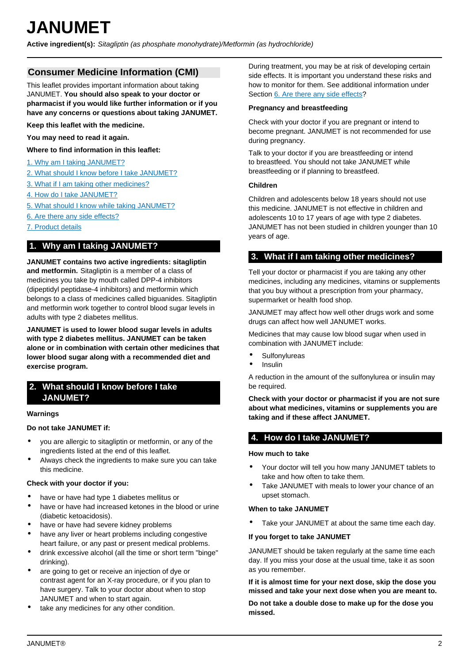<span id="page-1-0"></span>**Active ingredient(s):** Sitagliptin (as phosphate monohydrate)/Metformin (as hydrochloride)

# **Consumer Medicine Information (CMI)**

This leaflet provides important information about taking JANUMET. **You should also speak to your doctor or pharmacist if you would like further information or if you have any concerns or questions about taking JANUMET.**

**Keep this leaflet with the medicine.**

**You may need to read it again.**

**Where to find information in this leaflet:**

- [1. Why am I taking JANUMET?](#page-1-1)
- [2. What should I know before I take JANUMET?](#page-1-2)
- [3. What if I am taking other medicines?](#page-1-3)
- [4. How do I take JANUMET?](#page-1-4)
- [5. What should I know while taking JANUMET?](#page-2-0)
- [6. Are there any side effects?](#page-3-0)
- [7. Product details](#page-3-1)

# <span id="page-1-1"></span>**1. Why am I taking JANUMET?**

**JANUMET contains two active ingredients: sitagliptin and metformin.** Sitagliptin is a member of a class of medicines you take by mouth called DPP-4 inhibitors (dipeptidyl peptidase-4 inhibitors) and metformin which belongs to a class of medicines called biguanides. Sitagliptin and metformin work together to control blood sugar levels in adults with type 2 diabetes mellitus.

**JANUMET is used to lower blood sugar levels in adults with type 2 diabetes mellitus. JANUMET can be taken alone or in combination with certain other medicines that lower blood sugar along with a recommended diet and exercise program.**

# <span id="page-1-2"></span>**2. What should I know before I take JANUMET?**

#### **Warnings**

### **Do not take JANUMET if:**

- you are allergic to sitagliptin or metformin, or any of the ingredients listed at the end of this leaflet.
- Always check the ingredients to make sure you can take this medicine.

#### **Check with your doctor if you:**

- have or have had type 1 diabetes mellitus or
- have or have had increased ketones in the blood or urine (diabetic ketoacidosis).
- have or have had severe kidney problems
- have any liver or heart problems including congestive heart failure, or any past or present medical problems.
- drink excessive alcohol (all the time or short term "binge" drinking).
- are going to get or receive an injection of dye or contrast agent for an X-ray procedure, or if you plan to have surgery. Talk to your doctor about when to stop JANUMET and when to start again.
- take any medicines for any other condition.

During treatment, you may be at risk of developing certain side effects. It is important you understand these risks and how to monitor for them. See additional information under Section [6. Are there any side effects](#page-3-0)?

### **Pregnancy and breastfeeding**

Check with your doctor if you are pregnant or intend to become pregnant. JANUMET is not recommended for use during pregnancy.

Talk to your doctor if you are breastfeeding or intend to breastfeed. You should not take JANUMET while breastfeeding or if planning to breastfeed.

## **Children**

Children and adolescents below 18 years should not use this medicine. JANUMET is not effective in children and adolescents 10 to 17 years of age with type 2 diabetes. JANUMET has not been studied in children younger than 10 years of age.

# <span id="page-1-3"></span>**3. What if I am taking other medicines?**

Tell your doctor or pharmacist if you are taking any other medicines, including any medicines, vitamins or supplements that you buy without a prescription from your pharmacy, supermarket or health food shop.

JANUMET may affect how well other drugs work and some drugs can affect how well JANUMET works.

Medicines that may cause low blood sugar when used in combination with JANUMET include:

- **Sulfonylureas**
- Insulin

A reduction in the amount of the sulfonylurea or insulin may be required.

**Check with your doctor or pharmacist if you are not sure about what medicines, vitamins or supplements you are taking and if these affect JANUMET.**

# <span id="page-1-4"></span>**4. How do I take JANUMET?**

#### **How much to take**

- Your doctor will tell you how many JANUMET tablets to take and how often to take them.
- Take JANUMET with meals to lower your chance of an upset stomach.

#### **When to take JANUMET**

Take your JANUMET at about the same time each day.

## **If you forget to take JANUMET**

JANUMET should be taken regularly at the same time each day. If you miss your dose at the usual time, take it as soon as you remember.

**If it is almost time for your next dose, skip the dose you missed and take your next dose when you are meant to.**

**Do not take a double dose to make up for the dose you missed.**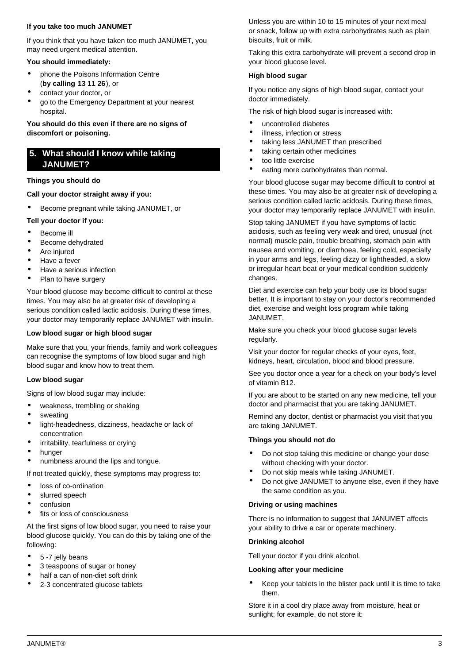## **If you take too much JANUMET**

If you think that you have taken too much JANUMET, you may need urgent medical attention.

## **You should immediately:**

- phone the Poisons Information Centre (**by calling 13 11 26**), or
- contact your doctor, or
- go to the Emergency Department at your nearest hospital.

**You should do this even if there are no signs of discomfort or poisoning.**

# <span id="page-2-0"></span>**5. What should I know while taking JANUMET?**

### **Things you should do**

## **Call your doctor straight away if you:**

• Become pregnant while taking JANUMET, or

## **Tell your doctor if you:**

- Become ill
- Become dehydrated
- Are injured
- Have a fever
- Have a serious infection
- Plan to have surgery

Your blood glucose may become difficult to control at these times. You may also be at greater risk of developing a serious condition called lactic acidosis. During these times, your doctor may temporarily replace JANUMET with insulin.

## **Low blood sugar or high blood sugar**

Make sure that you, your friends, family and work colleagues can recognise the symptoms of low blood sugar and high blood sugar and know how to treat them.

## **Low blood sugar**

Signs of low blood sugar may include:

- weakness, trembling or shaking
- sweating
- light-headedness, dizziness, headache or lack of concentration
- irritability, tearfulness or crying
- hunger
- numbness around the lips and tongue.

If not treated quickly, these symptoms may progress to:

- loss of co-ordination
- slurred speech
- confusion
- fits or loss of consciousness

At the first signs of low blood sugar, you need to raise your blood glucose quickly. You can do this by taking one of the following:

- 5 -7 jelly beans
- 3 teaspoons of sugar or honey
- half a can of non-diet soft drink
- 2-3 concentrated glucose tablets

Unless you are within 10 to 15 minutes of your next meal or snack, follow up with extra carbohydrates such as plain biscuits, fruit or milk.

Taking this extra carbohydrate will prevent a second drop in your blood glucose level.

## **High blood sugar**

If you notice any signs of high blood sugar, contact your doctor immediately.

The risk of high blood sugar is increased with:

- uncontrolled diabetes
- illness, infection or stress
- taking less JANUMET than prescribed
- taking certain other medicines
- too little exercise
- eating more carbohydrates than normal.

Your blood glucose sugar may become difficult to control at these times. You may also be at greater risk of developing a serious condition called lactic acidosis. During these times, your doctor may temporarily replace JANUMET with insulin.

Stop taking JANUMET if you have symptoms of lactic acidosis, such as feeling very weak and tired, unusual (not normal) muscle pain, trouble breathing, stomach pain with nausea and vomiting, or diarrhoea, feeling cold, especially in your arms and legs, feeling dizzy or lightheaded, a slow or irregular heart beat or your medical condition suddenly changes.

Diet and exercise can help your body use its blood sugar better. It is important to stay on your doctor's recommended diet, exercise and weight loss program while taking JANUMET.

Make sure you check your blood glucose sugar levels regularly.

Visit your doctor for regular checks of your eyes, feet, kidneys, heart, circulation, blood and blood pressure.

See you doctor once a year for a check on your body's level of vitamin B12.

If you are about to be started on any new medicine, tell your doctor and pharmacist that you are taking JANUMET.

Remind any doctor, dentist or pharmacist you visit that you are taking JANUMET.

## **Things you should not do**

- Do not stop taking this medicine or change your dose without checking with your doctor.
- Do not skip meals while taking JANUMET.
- Do not give JANUMET to anyone else, even if they have the same condition as you.

## **Driving or using machines**

There is no information to suggest that JANUMET affects your ability to drive a car or operate machinery.

## **Drinking alcohol**

Tell your doctor if you drink alcohol.

#### **Looking after your medicine**

• Keep your tablets in the blister pack until it is time to take them.

Store it in a cool dry place away from moisture, heat or sunlight; for example, do not store it: